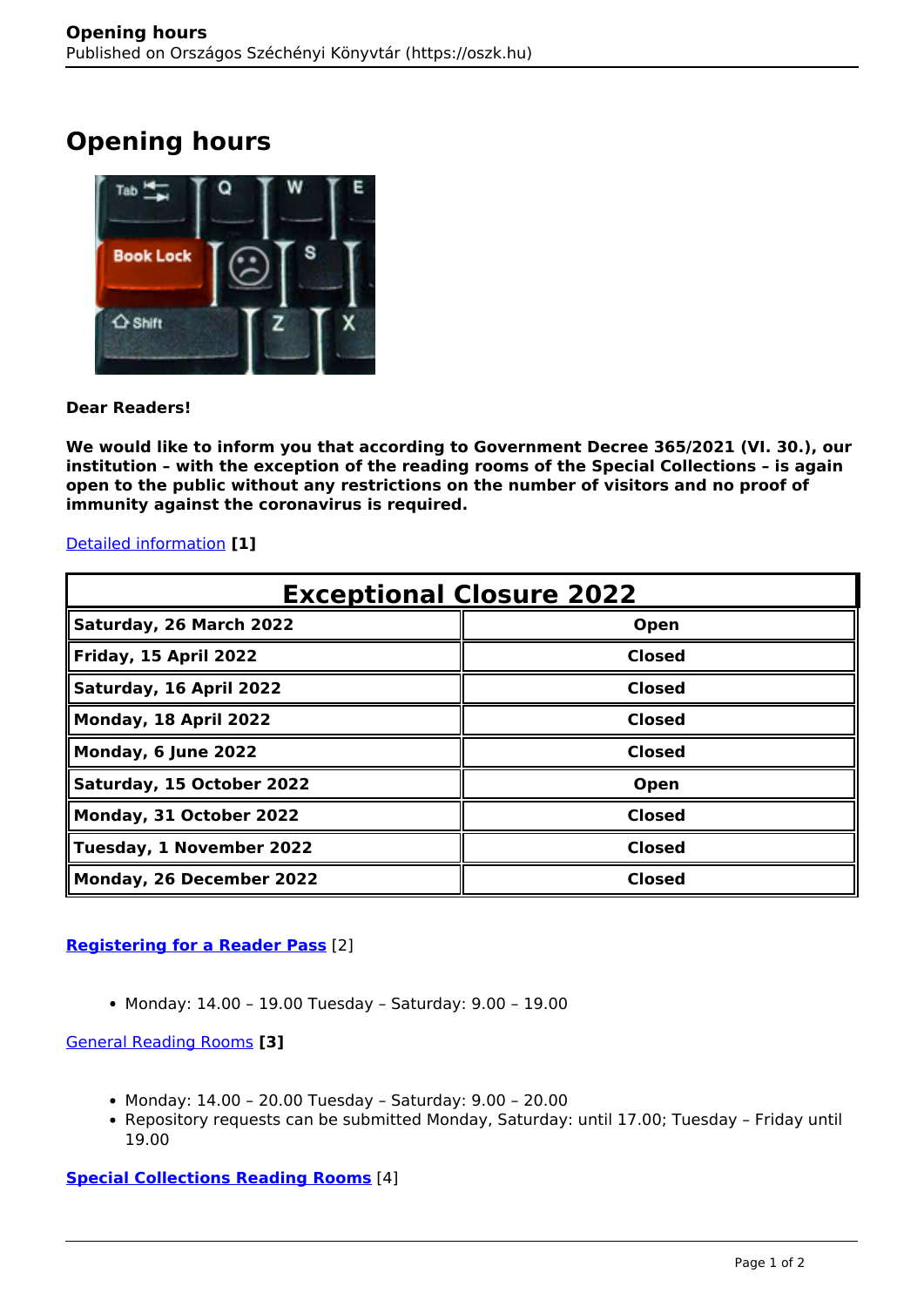# **Opening hours**



## **Dear Readers!**

**We would like to inform you that according to Government Decree 365/2021 (VI. 30.), our institution – with the exception of the reading rooms of the Special Collections – is again open to the public without any restrictions on the number of visitors and no proof of immunity against the coronavirus is required.**

## [Detailed information](http://www.oszk.hu/en/news/may-4-2021-nszl-welcoming-you-again) **[1]**

| <b>Exceptional Closure 2022</b> |               |
|---------------------------------|---------------|
| Saturday, 26 March 2022         | Open          |
| Friday, 15 April 2022           | <b>Closed</b> |
| Saturday, 16 April 2022         | <b>Closed</b> |
| Monday, 18 April 2022           | <b>Closed</b> |
| Monday, 6 June 2022             | <b>Closed</b> |
| Saturday, 15 October 2022       | Open          |
| Monday, 31 October 2022         | <b>Closed</b> |
| Tuesday, 1 November 2022        | <b>Closed</b> |
| Monday, 26 December 2022        | <b>Closed</b> |

## **[Registering for a Reader Pass](http://www.oszk.hu/en/registering_for_a_reader_pass)** [2]

Monday: 14.00 – 19.00 Tuesday – Saturday: 9.00 – 19.00

## [General Reading Rooms](http://www.oszk.hu/en/general_collection_reading_rooms) **[3]**

- Monday: 14.00 20.00 Tuesday Saturday: 9.00 20.00
- Repository requests can be submitted Monday, Saturday: until 17.00; Tuesday Friday until 19.00

## **[Special Collections Reading Rooms](http://www.oszk.hu/en/special_collection_reading_rooms)** [4]